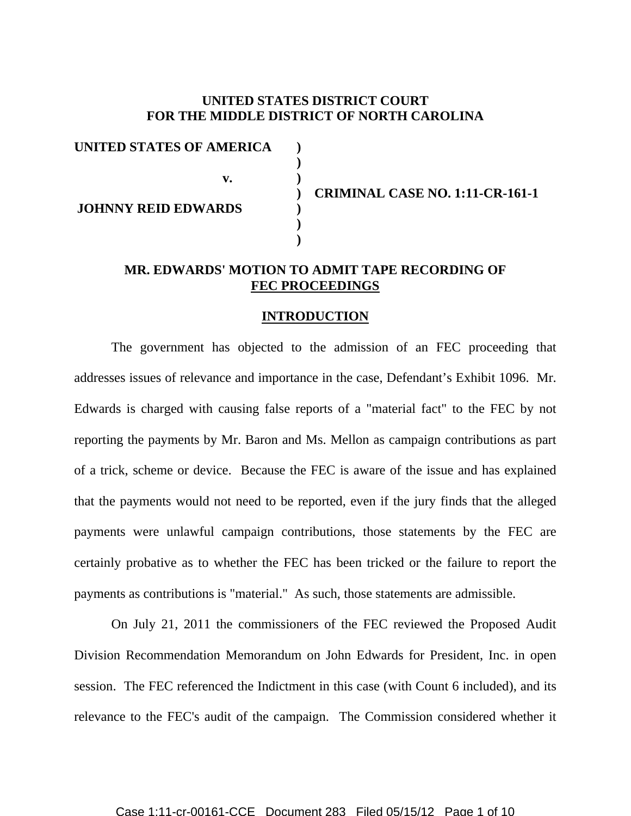## **UNITED STATES DISTRICT COURT FOR THE MIDDLE DISTRICT OF NORTH CAROLINA**

**UNITED STATES OF AMERICA ) ) v. ) JOHNNY REID EDWARDS ) ) )** 

**) CRIMINAL CASE NO. 1:11-CR-161-1** 

## **MR. EDWARDS' MOTION TO ADMIT TAPE RECORDING OF FEC PROCEEDINGS**

#### **INTRODUCTION**

 The government has objected to the admission of an FEC proceeding that addresses issues of relevance and importance in the case, Defendant's Exhibit 1096. Mr. Edwards is charged with causing false reports of a "material fact" to the FEC by not reporting the payments by Mr. Baron and Ms. Mellon as campaign contributions as part of a trick, scheme or device. Because the FEC is aware of the issue and has explained that the payments would not need to be reported, even if the jury finds that the alleged payments were unlawful campaign contributions, those statements by the FEC are certainly probative as to whether the FEC has been tricked or the failure to report the payments as contributions is "material." As such, those statements are admissible.

 On July 21, 2011 the commissioners of the FEC reviewed the Proposed Audit Division Recommendation Memorandum on John Edwards for President, Inc. in open session. The FEC referenced the Indictment in this case (with Count 6 included), and its relevance to the FEC's audit of the campaign. The Commission considered whether it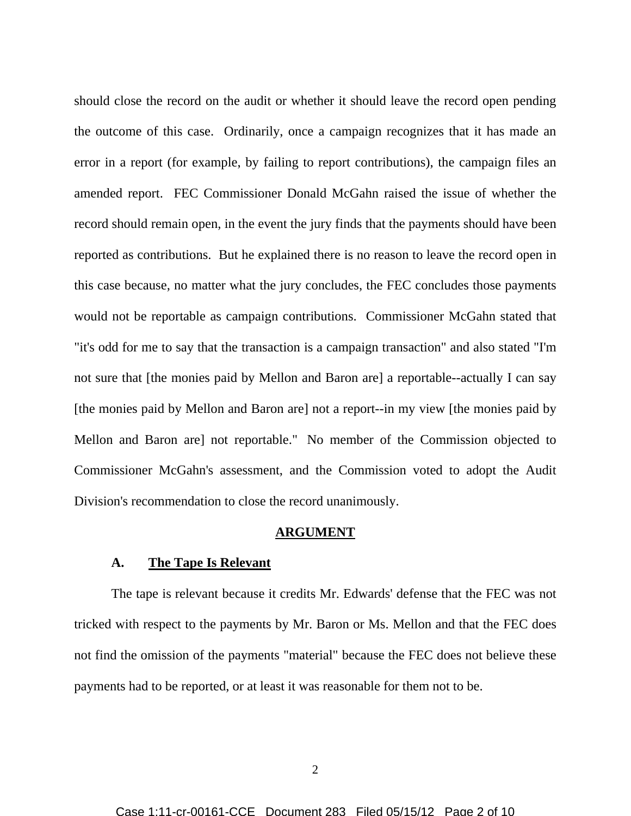should close the record on the audit or whether it should leave the record open pending the outcome of this case. Ordinarily, once a campaign recognizes that it has made an error in a report (for example, by failing to report contributions), the campaign files an amended report. FEC Commissioner Donald McGahn raised the issue of whether the record should remain open, in the event the jury finds that the payments should have been reported as contributions. But he explained there is no reason to leave the record open in this case because, no matter what the jury concludes, the FEC concludes those payments would not be reportable as campaign contributions. Commissioner McGahn stated that "it's odd for me to say that the transaction is a campaign transaction" and also stated "I'm not sure that [the monies paid by Mellon and Baron are] a reportable--actually I can say [the monies paid by Mellon and Baron are] not a report--in my view [the monies paid by Mellon and Baron are] not reportable." No member of the Commission objected to Commissioner McGahn's assessment, and the Commission voted to adopt the Audit Division's recommendation to close the record unanimously.

#### **ARGUMENT**

### **A. The Tape Is Relevant**

The tape is relevant because it credits Mr. Edwards' defense that the FEC was not tricked with respect to the payments by Mr. Baron or Ms. Mellon and that the FEC does not find the omission of the payments "material" because the FEC does not believe these payments had to be reported, or at least it was reasonable for them not to be.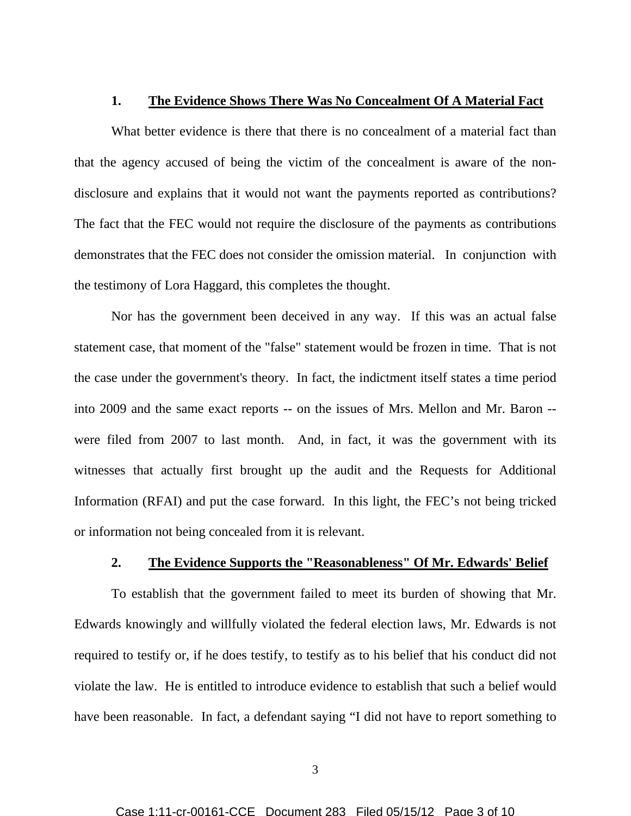#### **1. The Evidence Shows There Was No Concealment Of A Material Fact**

What better evidence is there that there is no concealment of a material fact than that the agency accused of being the victim of the concealment is aware of the nondisclosure and explains that it would not want the payments reported as contributions? The fact that the FEC would not require the disclosure of the payments as contributions demonstrates that the FEC does not consider the omission material. In conjunction with the testimony of Lora Haggard, this completes the thought.

 Nor has the government been deceived in any way. If this was an actual false statement case, that moment of the "false" statement would be frozen in time. That is not the case under the government's theory. In fact, the indictment itself states a time period into 2009 and the same exact reports -- on the issues of Mrs. Mellon and Mr. Baron - were filed from 2007 to last month. And, in fact, it was the government with its witnesses that actually first brought up the audit and the Requests for Additional Information (RFAI) and put the case forward. In this light, the FEC's not being tricked or information not being concealed from it is relevant.

## **2. The Evidence Supports the "Reasonableness" Of Mr. Edwards' Belief**

 To establish that the government failed to meet its burden of showing that Mr. Edwards knowingly and willfully violated the federal election laws, Mr. Edwards is not required to testify or, if he does testify, to testify as to his belief that his conduct did not violate the law. He is entitled to introduce evidence to establish that such a belief would have been reasonable. In fact, a defendant saying "I did not have to report something to

3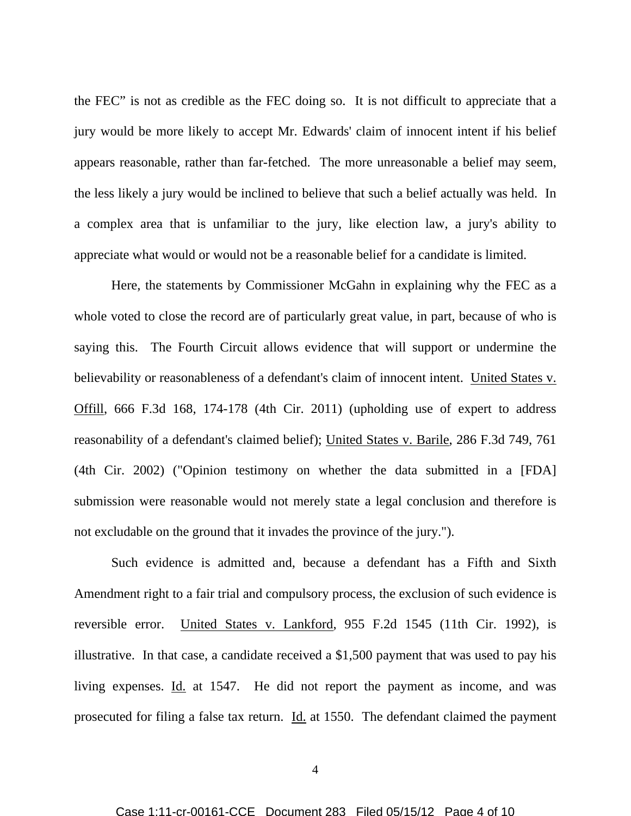the FEC" is not as credible as the FEC doing so. It is not difficult to appreciate that a jury would be more likely to accept Mr. Edwards' claim of innocent intent if his belief appears reasonable, rather than far-fetched. The more unreasonable a belief may seem, the less likely a jury would be inclined to believe that such a belief actually was held. In a complex area that is unfamiliar to the jury, like election law, a jury's ability to appreciate what would or would not be a reasonable belief for a candidate is limited.

 Here, the statements by Commissioner McGahn in explaining why the FEC as a whole voted to close the record are of particularly great value, in part, because of who is saying this. The Fourth Circuit allows evidence that will support or undermine the believability or reasonableness of a defendant's claim of innocent intent. United States v. Offill, 666 F.3d 168, 174-178 (4th Cir. 2011) (upholding use of expert to address reasonability of a defendant's claimed belief); United States v. Barile, 286 F.3d 749, 761 (4th Cir. 2002) ("Opinion testimony on whether the data submitted in a [FDA] submission were reasonable would not merely state a legal conclusion and therefore is not excludable on the ground that it invades the province of the jury.").

 Such evidence is admitted and, because a defendant has a Fifth and Sixth Amendment right to a fair trial and compulsory process, the exclusion of such evidence is reversible error. United States v. Lankford, 955 F.2d 1545 (11th Cir. 1992), is illustrative. In that case, a candidate received a \$1,500 payment that was used to pay his living expenses. Id. at 1547. He did not report the payment as income, and was prosecuted for filing a false tax return. Id. at 1550. The defendant claimed the payment

4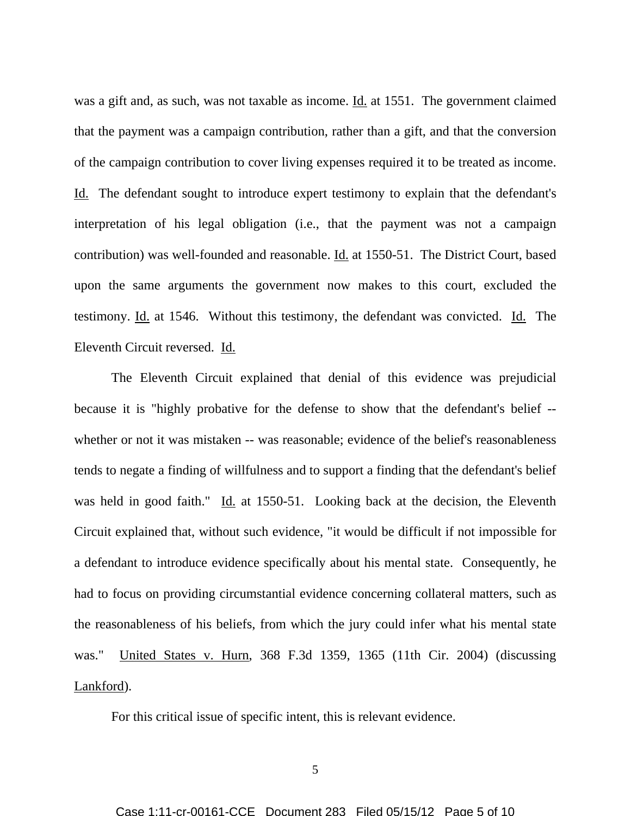was a gift and, as such, was not taxable as income. Id. at 1551. The government claimed that the payment was a campaign contribution, rather than a gift, and that the conversion of the campaign contribution to cover living expenses required it to be treated as income. Id. The defendant sought to introduce expert testimony to explain that the defendant's interpretation of his legal obligation (i.e., that the payment was not a campaign contribution) was well-founded and reasonable. Id. at 1550-51. The District Court, based upon the same arguments the government now makes to this court, excluded the testimony. Id. at 1546. Without this testimony, the defendant was convicted. Id. The Eleventh Circuit reversed. Id.

 The Eleventh Circuit explained that denial of this evidence was prejudicial because it is "highly probative for the defense to show that the defendant's belief - whether or not it was mistaken -- was reasonable; evidence of the belief's reasonableness tends to negate a finding of willfulness and to support a finding that the defendant's belief was held in good faith." Id. at 1550-51. Looking back at the decision, the Eleventh Circuit explained that, without such evidence, "it would be difficult if not impossible for a defendant to introduce evidence specifically about his mental state. Consequently, he had to focus on providing circumstantial evidence concerning collateral matters, such as the reasonableness of his beliefs, from which the jury could infer what his mental state was." United States v. Hurn, 368 F.3d 1359, 1365 (11th Cir. 2004) (discussing Lankford).

For this critical issue of specific intent, this is relevant evidence.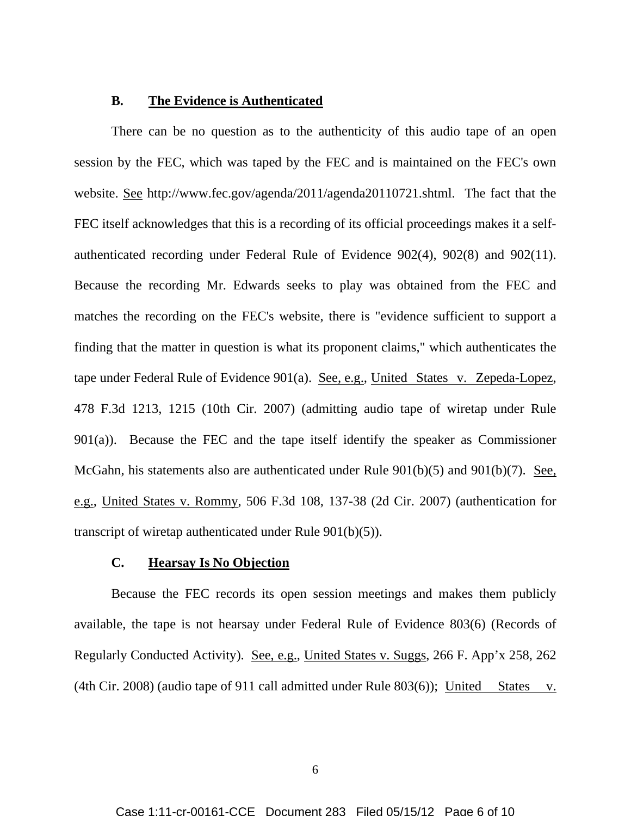#### **B. The Evidence is Authenticated**

 There can be no question as to the authenticity of this audio tape of an open session by the FEC, which was taped by the FEC and is maintained on the FEC's own website. See http://www.fec.gov/agenda/2011/agenda20110721.shtml. The fact that the FEC itself acknowledges that this is a recording of its official proceedings makes it a selfauthenticated recording under Federal Rule of Evidence 902(4), 902(8) and 902(11). Because the recording Mr. Edwards seeks to play was obtained from the FEC and matches the recording on the FEC's website, there is "evidence sufficient to support a finding that the matter in question is what its proponent claims," which authenticates the tape under Federal Rule of Evidence 901(a). See, e.g., United States v. Zepeda-Lopez, 478 F.3d 1213, 1215 (10th Cir. 2007) (admitting audio tape of wiretap under Rule 901(a)). Because the FEC and the tape itself identify the speaker as Commissioner McGahn, his statements also are authenticated under Rule 901(b)(5) and 901(b)(7). See, e.g., United States v. Rommy, 506 F.3d 108, 137-38 (2d Cir. 2007) (authentication for transcript of wiretap authenticated under Rule 901(b)(5)).

## **C. Hearsay Is No Objection**

 Because the FEC records its open session meetings and makes them publicly available, the tape is not hearsay under Federal Rule of Evidence 803(6) (Records of Regularly Conducted Activity). See, e.g., United States v. Suggs, 266 F. App'x 258, 262 (4th Cir. 2008) (audio tape of 911 call admitted under Rule  $803(6)$ ); United States v.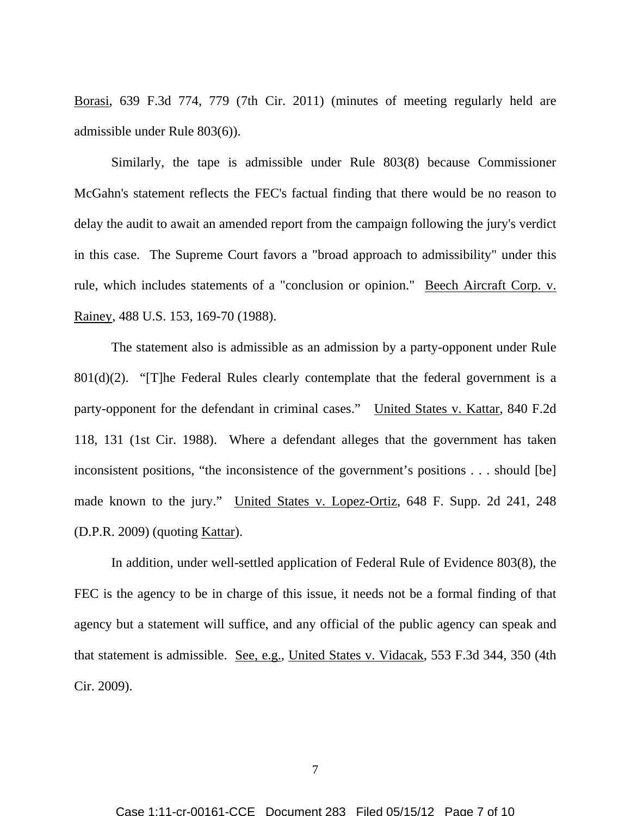Borasi, 639 F.3d 774, 779 (7th Cir. 2011) (minutes of meeting regularly held are admissible under Rule 803(6)).

 Similarly, the tape is admissible under Rule 803(8) because Commissioner McGahn's statement reflects the FEC's factual finding that there would be no reason to delay the audit to await an amended report from the campaign following the jury's verdict in this case. The Supreme Court favors a "broad approach to admissibility" under this rule, which includes statements of a "conclusion or opinion." Beech Aircraft Corp. v. Rainey, 488 U.S. 153, 169-70 (1988).

 The statement also is admissible as an admission by a party-opponent under Rule  $801(d)(2)$ . "[T]he Federal Rules clearly contemplate that the federal government is a party-opponent for the defendant in criminal cases." United States v. Kattar, 840 F.2d 118, 131 (1st Cir. 1988). Where a defendant alleges that the government has taken inconsistent positions, "the inconsistence of the government's positions . . . should [be] made known to the jury." United States v. Lopez-Ortiz, 648 F. Supp. 2d 241, 248 (D.P.R. 2009) (quoting Kattar).

 In addition, under well-settled application of Federal Rule of Evidence 803(8), the FEC is the agency to be in charge of this issue, it needs not be a formal finding of that agency but a statement will suffice, and any official of the public agency can speak and that statement is admissible. See, e.g., United States v. Vidacak, 553 F.3d 344, 350 (4th Cir. 2009).

7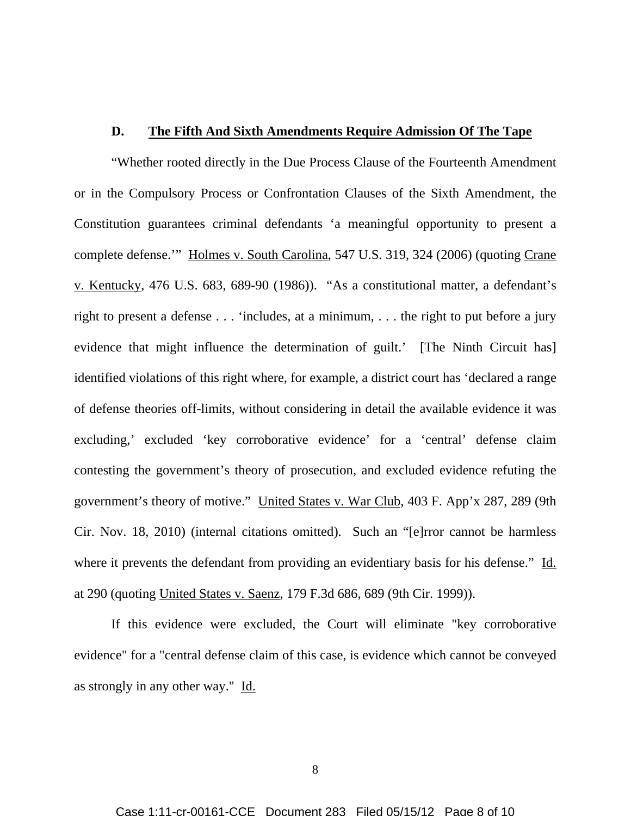### **D. The Fifth And Sixth Amendments Require Admission Of The Tape**

"Whether rooted directly in the Due Process Clause of the Fourteenth Amendment or in the Compulsory Process or Confrontation Clauses of the Sixth Amendment, the Constitution guarantees criminal defendants 'a meaningful opportunity to present a complete defense.'" Holmes v. South Carolina, 547 U.S. 319, 324 (2006) (quoting Crane v. Kentucky, 476 U.S. 683, 689-90 (1986)). "As a constitutional matter, a defendant's right to present a defense . . . 'includes, at a minimum, . . . the right to put before a jury evidence that might influence the determination of guilt.' [The Ninth Circuit has] identified violations of this right where, for example, a district court has 'declared a range of defense theories off-limits, without considering in detail the available evidence it was excluding,' excluded 'key corroborative evidence' for a 'central' defense claim contesting the government's theory of prosecution, and excluded evidence refuting the government's theory of motive." United States v. War Club, 403 F. App'x 287, 289 (9th Cir. Nov. 18, 2010) (internal citations omitted). Such an "[e]rror cannot be harmless where it prevents the defendant from providing an evidentiary basis for his defense." Id. at 290 (quoting United States v. Saenz, 179 F.3d 686, 689 (9th Cir. 1999)).

 If this evidence were excluded, the Court will eliminate "key corroborative evidence" for a "central defense claim of this case, is evidence which cannot be conveyed as strongly in any other way." Id.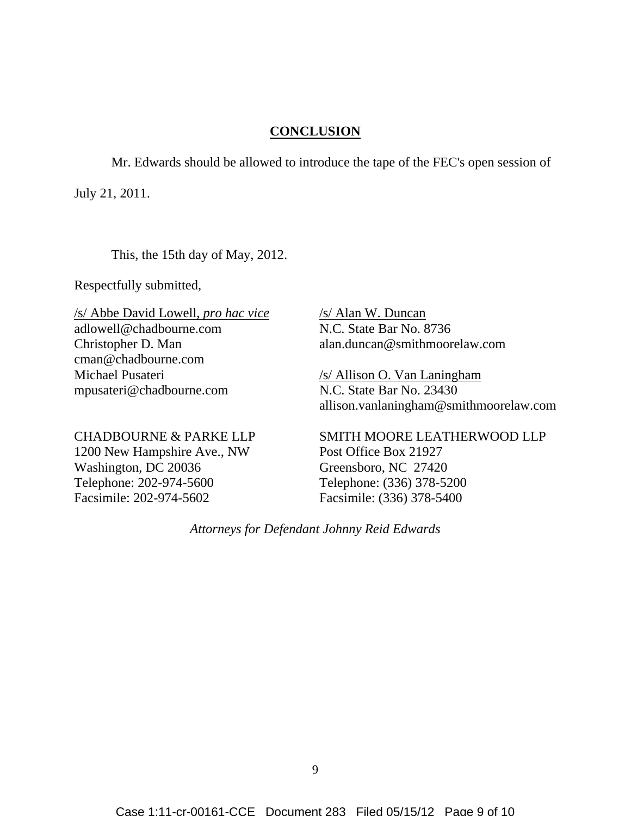# **CONCLUSION**

Mr. Edwards should be allowed to introduce the tape of the FEC's open session of

July 21, 2011.

This, the 15th day of May, 2012.

Respectfully submitted,

/s/ Abbe David Lowell, *pro hac vice* adlowell@chadbourne.com Christopher D. Man cman@chadbourne.com Michael Pusateri mpusateri@chadbourne.com

/s/ Alan W. Duncan N.C. State Bar No. 8736 alan.duncan@smithmoorelaw.com

/s/ Allison O. Van Laningham N.C. State Bar No. 23430 allison.vanlaningham@smithmoorelaw.com

CHADBOURNE & PARKE LLP 1200 New Hampshire Ave., NW Washington, DC 20036 Telephone: 202-974-5600 Facsimile: 202-974-5602

SMITH MOORE LEATHERWOOD LLP Post Office Box 21927 Greensboro, NC 27420 Telephone: (336) 378-5200 Facsimile: (336) 378-5400

*Attorneys for Defendant Johnny Reid Edwards*